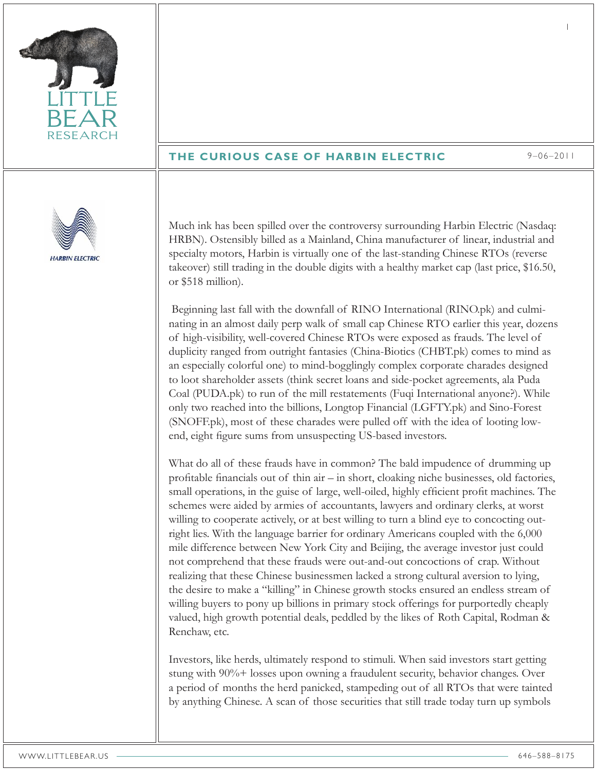

## **THE CURIOUS CASE OF HARBIN ELECTRIC** 9–06–2011

1



Much ink has been spilled over the controversy surrounding Harbin Electric (Nasdaq: HRBN). Ostensibly billed as a Mainland, China manufacturer of linear, industrial and specialty motors, Harbin is virtually one of the last-standing Chinese RTOs (reverse takeover) still trading in the double digits with a healthy market cap (last price, \$16.50, or \$518 million).

 Beginning last fall with the downfall of RINO International (RINO.pk) and culminating in an almost daily perp walk of small cap Chinese RTO earlier this year, dozens of high-visibility, well-covered Chinese RTOs were exposed as frauds. The level of duplicity ranged from outright fantasies (China-Biotics (CHBT.pk) comes to mind as an especially colorful one) to mind-bogglingly complex corporate charades designed to loot shareholder assets (think secret loans and side-pocket agreements, ala Puda Coal (PUDA.pk) to run of the mill restatements (Fuqi International anyone?). While only two reached into the billions, Longtop Financial (LGFTY.pk) and Sino-Forest (SNOFF.pk), most of these charades were pulled off with the idea of looting lowend, eight figure sums from unsuspecting US-based investors.

What do all of these frauds have in common? The bald impudence of drumming up profitable financials out of thin air – in short, cloaking niche businesses, old factories, small operations, in the guise of large, well-oiled, highly efficient profit machines. The schemes were aided by armies of accountants, lawyers and ordinary clerks, at worst willing to cooperate actively, or at best willing to turn a blind eye to concocting outright lies. With the language barrier for ordinary Americans coupled with the 6,000 mile difference between New York City and Beijing, the average investor just could not comprehend that these frauds were out-and-out concoctions of crap. Without realizing that these Chinese businessmen lacked a strong cultural aversion to lying, the desire to make a "killing" in Chinese growth stocks ensured an endless stream of willing buyers to pony up billions in primary stock offerings for purportedly cheaply valued, high growth potential deals, peddled by the likes of Roth Capital, Rodman & Renchaw, etc.

Investors, like herds, ultimately respond to stimuli. When said investors start getting stung with 90%+ losses upon owning a fraudulent security, behavior changes. Over a period of months the herd panicked, stampeding out of all RTOs that were tainted by anything Chinese. A scan of those securities that still trade today turn up symbols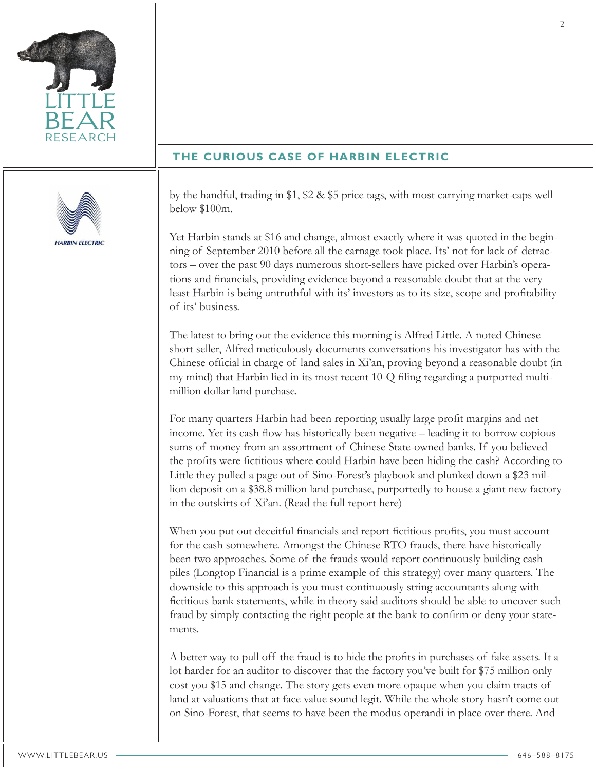

## **THE CURIOUS CASE OF HARBIN ELECTRIC**



by the handful, trading in \$1, \$2 & \$5 price tags, with most carrying market-caps well below \$100m.

Yet Harbin stands at \$16 and change, almost exactly where it was quoted in the beginning of September 2010 before all the carnage took place. Its' not for lack of detractors – over the past 90 days numerous short-sellers have picked over Harbin's operations and financials, providing evidence beyond a reasonable doubt that at the very least Harbin is being untruthful with its' investors as to its size, scope and profitability of its' business.

The latest to bring out the evidence this morning is Alfred Little. A noted Chinese short seller, Alfred meticulously documents conversations his investigator has with the Chinese official in charge of land sales in Xi'an, proving beyond a reasonable doubt (in my mind) that Harbin lied in its most recent 10-Q filing regarding a purported multimillion dollar land purchase.

For many quarters Harbin had been reporting usually large profit margins and net income. Yet its cash flow has historically been negative – leading it to borrow copious sums of money from an assortment of Chinese State-owned banks. If you believed the profits were fictitious where could Harbin have been hiding the cash? According to Little they pulled a page out of Sino-Forest's playbook and plunked down a \$23 million deposit on a \$38.8 million land purchase, purportedly to house a giant new factory in the outskirts of Xi'an. (Read the full report here)

When you put out deceitful financials and report fictitious profits, you must account for the cash somewhere. Amongst the Chinese RTO frauds, there have historically been two approaches. Some of the frauds would report continuously building cash piles (Longtop Financial is a prime example of this strategy) over many quarters. The downside to this approach is you must continuously string accountants along with fictitious bank statements, while in theory said auditors should be able to uncover such fraud by simply contacting the right people at the bank to confirm or deny your statements.

A better way to pull off the fraud is to hide the profits in purchases of fake assets. It a lot harder for an auditor to discover that the factory you've built for \$75 million only cost you \$15 and change. The story gets even more opaque when you claim tracts of land at valuations that at face value sound legit. While the whole story hasn't come out on Sino-Forest, that seems to have been the modus operandi in place over there. And